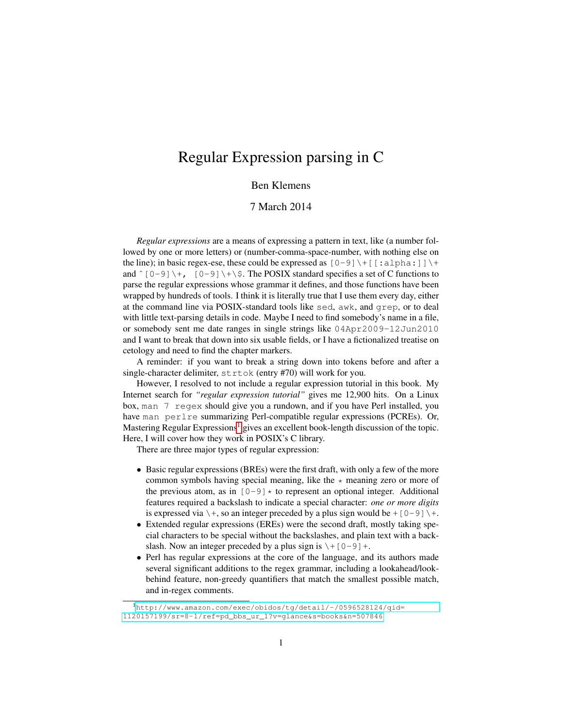# Regular Expression parsing in C

## Ben Klemens

### 7 March 2014

*Regular expressions* are a means of expressing a pattern in text, like (a number followed by one or more letters) or (number-comma-space-number, with nothing else on the line); in basic regex-ese, these could be expressed as  $[0-9] \setminus + [$  [:alpha:]] $\setminus$ and  $\hat{[0-9]}$  +,  $[0-9]$  + \ $\hat{[}$ . The POSIX standard specifies a set of C functions to parse the regular expressions whose grammar it defines, and those functions have been wrapped by hundreds of tools. I think it is literally true that I use them every day, either at the command line via POSIX-standard tools like sed, awk, and grep, or to deal with little text-parsing details in code. Maybe I need to find somebody's name in a file, or somebody sent me date ranges in single strings like 04Apr2009-12Jun2010 and I want to break that down into six usable fields, or I have a fictionalized treatise on cetology and need to find the chapter markers.

A reminder: if you want to break a string down into tokens before and after a single-character delimiter, strtok (entry #70) will work for you.

However, I resolved to not include a regular expression tutorial in this book. My Internet search for *"regular expression tutorial"* gives me 12,900 hits. On a Linux box, man 7 regex should give you a rundown, and if you have Perl installed, you have man perlre summarizing Perl-compatible regular expressions (PCREs). Or, Mastering Regular Expressions<sup>[1](#page-0-0)</sup> gives an excellent book-length discussion of the topic. Here, I will cover how they work in POSIX's C library.

There are three major types of regular expression:

- Basic regular expressions (BREs) were the first draft, with only a few of the more common symbols having special meaning, like the  $\star$  meaning zero or more of the previous atom, as in  $[0-9] \star$  to represent an optional integer. Additional features required a backslash to indicate a special character: *one or more digits* is expressed via  $\setminus +$ , so an integer preceded by a plus sign would be + [0-9]  $\setminus +$ .
- Extended regular expressions (EREs) were the second draft, mostly taking special characters to be special without the backslashes, and plain text with a backslash. Now an integer preceded by a plus sign is  $\setminus$  + [0-9] +.
- Perl has regular expressions at the core of the language, and its authors made several significant additions to the regex grammar, including a lookahead/lookbehind feature, non-greedy quantifiers that match the smallest possible match, and in-regex comments.

<span id="page-0-0"></span><sup>1</sup>[http://www.amazon.com/exec/obidos/tg/detail/-/0596528124/qid=](http://www.amazon.com/exec/obidos/tg/detail/-/0596528124/qid=1120157199/sr=8-1/ref=pd_bbs_ur_1?v=glance&s=books&n=507846) [1120157199/sr=8-1/ref=pd\\_bbs\\_ur\\_1?v=glance&s=books&n=507846](http://www.amazon.com/exec/obidos/tg/detail/-/0596528124/qid=1120157199/sr=8-1/ref=pd_bbs_ur_1?v=glance&s=books&n=507846)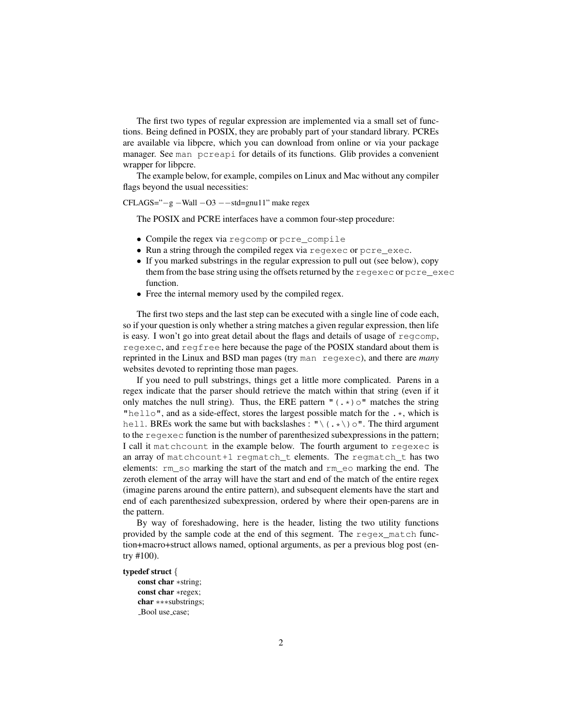The first two types of regular expression are implemented via a small set of functions. Being defined in POSIX, they are probably part of your standard library. PCREs are available via libpcre, which you can download from online or via your package manager. See man pcreapi for details of its functions. Glib provides a convenient wrapper for libpcre.

The example below, for example, compiles on Linux and Mac without any compiler flags beyond the usual necessities:

CFLAGS="−g −Wall −O3 −−std=gnu11" make regex

The POSIX and PCRE interfaces have a common four-step procedure:

- Compile the regex via regcomp or pcre\_compile
- Run a string through the compiled regex via reqexec or pcre exec.
- If you marked substrings in the regular expression to pull out (see below), copy them from the base string using the offsets returned by the regexec or pcre\_exec function.
- Free the internal memory used by the compiled regex.

The first two steps and the last step can be executed with a single line of code each, so if your question is only whether a string matches a given regular expression, then life is easy. I won't go into great detail about the flags and details of usage of regcomp, regexec, and regfree here because the page of the POSIX standard about them is reprinted in the Linux and BSD man pages (try man regexec), and there are *many* websites devoted to reprinting those man pages.

If you need to pull substrings, things get a little more complicated. Parens in a regex indicate that the parser should retrieve the match within that string (even if it only matches the null string). Thus, the ERE pattern  $\int (\cdot \cdot \cdot) \circ$ " matches the string "hello", and as a side-effect, stores the largest possible match for the  $\cdot \cdot$ , which is hell. BREs work the same but with backslashes : " $\langle . \star \rangle$  o". The third argument to the regexec function is the number of parenthesized subexpressions in the pattern; I call it matchcount in the example below. The fourth argument to regexec is an array of matchcount+1 regmatch\_t elements. The regmatch\_t has two elements: rm\_so marking the start of the match and rm\_eo marking the end. The zeroth element of the array will have the start and end of the match of the entire regex (imagine parens around the entire pattern), and subsequent elements have the start and end of each parenthesized subexpression, ordered by where their open-parens are in the pattern.

By way of foreshadowing, here is the header, listing the two utility functions provided by the sample code at the end of this segment. The regex\_match function+macro+struct allows named, optional arguments, as per a previous blog post (entry #100).

#### typedef struct {

```
const char ∗string;
const char ∗regex;
char ∗∗∗substrings;
Bool use_case;
```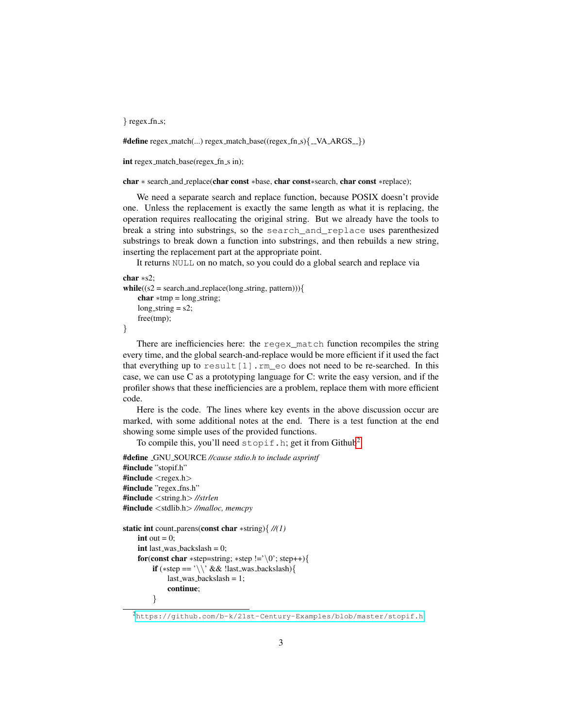} regex\_fn\_s;

 $\# \text{define } \text{regex\_match}(\ldots) \text{regex\_match\_base}((\text{regex\_fn\_s})_{\text{--}}\text{VA\_ARGS\_})$ 

int regex\_match\_base(regex\_fn\_s in);

char ∗ search and replace(char const ∗base, char const∗search, char const ∗replace);

We need a separate search and replace function, because POSIX doesn't provide one. Unless the replacement is exactly the same length as what it is replacing, the operation requires reallocating the original string. But we already have the tools to break a string into substrings, so the search\_and\_replace uses parenthesized substrings to break down a function into substrings, and then rebuilds a new string, inserting the replacement part at the appropriate point.

It returns NULL on no match, so you could do a global search and replace via

```
char ∗s2;
while((s2 = search_and\_replace(long\_string, pattern))){
    char *tmp = long\_string;long\_string = s2;free(tmp);
}
```
There are inefficiencies here: the regex\_match function recompiles the string every time, and the global search-and-replace would be more efficient if it used the fact that everything up to result  $[1]$ . rm eo does not need to be re-searched. In this case, we can use C as a prototyping language for C: write the easy version, and if the profiler shows that these inefficiencies are a problem, replace them with more efficient code.

Here is the code. The lines where key events in the above discussion occur are marked, with some additional notes at the end. There is a test function at the end showing some simple uses of the provided functions.

To compile this, you'll need  $\text{stopif.h; get it from GitHub}^2$  $\text{stopif.h; get it from GitHub}^2$ .

```
#define GNU SOURCE //cause stdio.h to include asprintf
#include "stopif.h"
#include \langle regex.h>#include "regex_fns.h"
#include <string.h> //strlen
#include <stdlib.h> //malloc, memcpy
static int count parens(const char ∗string){ //(1)
    int out = 0:
    int last_was_backslash = 0;
    for(const char *step=string; *step !='\0'; step++){
        if (∗step == '\\' && !last was backslash){
             last_was_backslash = 1;
             continue;
        }
```
<span id="page-2-0"></span><sup>2</sup><https://github.com/b-k/21st-Century-Examples/blob/master/stopif.h>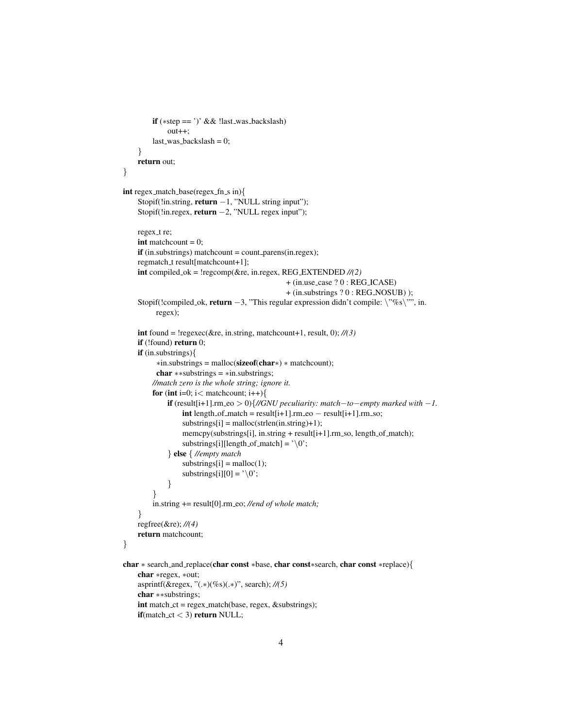```
if (∗step == ')' && !last was backslash)
             out++;
         last\_was_backslash = 0;}
    return out;
}
int regex_match_base(regex_fn_s in){
    Stopif(!in.string, return −1, "NULL string input");
    Stopif(!in.regex, return −2, "NULL regex input");
    regex_t re;
    int matchcount = 0;
    if (in.substrings) matchcount = count_parens(in.regex);
    regmatch_t result[matchcount+1];
    int compiled ok = !regcomp(&re, in.regex, REG EXTENDED //(2)
                                                 + (in.use case ? 0 : REG ICASE)
                                                 + (in.substrings ? 0 : REG NOSUB) );
    Stopif(!compiled_ok, return -3, "This regular expression didn't compile: \"%s\"", in.
          regex);
    int found = !regexec(&re, in.string, matchcount+1, result, 0); //(3)
    if (!found) return 0;
    if (in.substrings){
          ∗in.substrings = malloc(sizeof(char∗) ∗ matchcount);
          char ∗∗substrings = ∗in.substrings;
         //match zero is the whole string; ignore it.
         for (int i=0; i \lt matchcount; i++){
             if (result[i+1].rm eo > 0){//GNU peculiarity: match−to−empty marked with −1.
                  \intint length of match = result[i+1].rm eo - result[i+1].rm so;
                  substrings[i] = malloc(strlen(in string)+1);memcpy(substrings[i], in.string + result[i+1].rm_so, length_of_match);
                  substrings[i][length_of_match] = '\0;
             } else { //empty match
                  substrings[i] = malloc(1);substrings[i][0] = \sqrt{0};
             }
         }
         in.string += result[0].rm eo; //end of whole match;
    }
    regfree(&re); //(4)
    return matchcount;
}
char ∗ search and replace(char const ∗base, char const∗search, char const ∗replace){
    char ∗regex, ∗out;
    asprintf(&regex, "(.∗)(%s)(.∗)", search); //(5)
    char ∗∗substrings;
    int match_ct = regex_match(base, regex, &substrings);
    \textbf{if}(\text{match\_ct} < 3) \textbf{ return NULL};
```
4